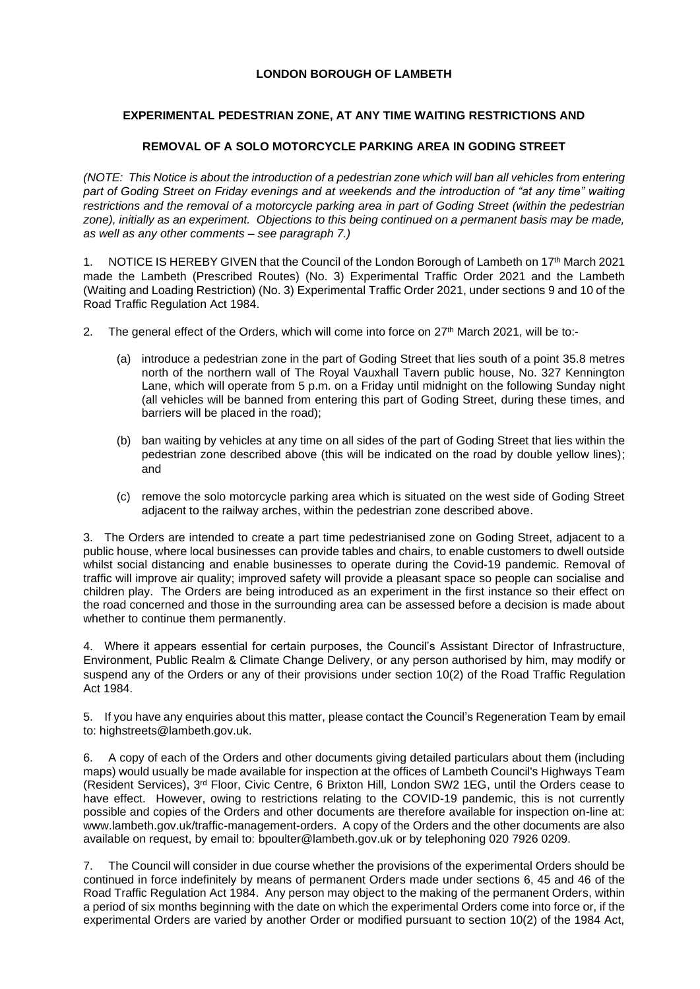## **LONDON BOROUGH OF LAMBETH**

## **EXPERIMENTAL PEDESTRIAN ZONE, AT ANY TIME WAITING RESTRICTIONS AND**

## **REMOVAL OF A SOLO MOTORCYCLE PARKING AREA IN GODING STREET**

*(NOTE: This Notice is about the introduction of a pedestrian zone which will ban all vehicles from entering part of Goding Street on Friday evenings and at weekends and the introduction of "at any time" waiting restrictions and the removal of a motorcycle parking area in part of Goding Street (within the pedestrian zone), initially as an experiment. Objections to this being continued on a permanent basis may be made, as well as any other comments – see paragraph 7.)*

1. NOTICE IS HEREBY GIVEN that the Council of the London Borough of Lambeth on 17th March 2021 made the Lambeth (Prescribed Routes) (No. 3) Experimental Traffic Order 2021 and the Lambeth (Waiting and Loading Restriction) (No. 3) Experimental Traffic Order 2021, under sections 9 and 10 of the Road Traffic Regulation Act 1984.

- 2. The general effect of the Orders, which will come into force on 27th March 2021, will be to:-
	- (a) introduce a pedestrian zone in the part of Goding Street that lies south of a point 35.8 metres north of the northern wall of The Royal Vauxhall Tavern public house, No. 327 Kennington Lane, which will operate from 5 p.m. on a Friday until midnight on the following Sunday night (all vehicles will be banned from entering this part of Goding Street, during these times, and barriers will be placed in the road);
	- (b) ban waiting by vehicles at any time on all sides of the part of Goding Street that lies within the pedestrian zone described above (this will be indicated on the road by double yellow lines); and
	- (c) remove the solo motorcycle parking area which is situated on the west side of Goding Street adjacent to the railway arches, within the pedestrian zone described above.

3. The Orders are intended to create a part time pedestrianised zone on Goding Street, adjacent to a public house, where local businesses can provide tables and chairs, to enable customers to dwell outside whilst social distancing and enable businesses to operate during the Covid-19 pandemic. Removal of traffic will improve air quality; improved safety will provide a pleasant space so people can socialise and children play. The Orders are being introduced as an experiment in the first instance so their effect on the road concerned and those in the surrounding area can be assessed before a decision is made about whether to continue them permanently.

4. Where it appears essential for certain purposes, the Council's Assistant Director of Infrastructure, Environment, Public Realm & Climate Change Delivery, or any person authorised by him, may modify or suspend any of the Orders or any of their provisions under section 10(2) of the Road Traffic Regulation Act 1984.

5. If you have any enquiries about this matter, please contact the Council's Regeneration Team by email to: highstreets@lambeth.gov.uk.

6. A copy of each of the Orders and other documents giving detailed particulars about them (including maps) would usually be made available for inspection at the offices of Lambeth Council's Highways Team (Resident Services), 3rd Floor, Civic Centre, 6 Brixton Hill, London SW2 1EG, until the Orders cease to have effect. However, owing to restrictions relating to the COVID-19 pandemic, this is not currently possible and copies of the Orders and other documents are therefore available for inspection on-line at: [www.lambeth.gov.uk/traffic-management-orders.](https://eur01.safelinks.protection.outlook.com/?url=http%3A%2F%2Fwww.lambeth.gov.uk%2Ftraffic-management-orders&data=02%7C01%7CHazel.Game%40projectcentre.co.uk%7Cdb2cc4466d98464379e108d8228a177f%7C3734172ae82a4ac7a3d302949970d5e6%7C0%7C0%7C637297323791658621&sdata=%2F9T0mTHJshTJ2XJRn1W8ejKPOCPyu4ImJy8Y%2BVrLotM%3D&reserved=0) A copy of the Orders and the other documents are also available on request, by email to: [bpoulter@lambeth.gov.uk](mailto:bpoulter@lambeth.gov.uk) or by telephoning 020 7926 0209.

7. The Council will consider in due course whether the provisions of the experimental Orders should be continued in force indefinitely by means of permanent Orders made under sections 6, 45 and 46 of the Road Traffic Regulation Act 1984. Any person may object to the making of the permanent Orders, within a period of six months beginning with the date on which the experimental Orders come into force or, if the experimental Orders are varied by another Order or modified pursuant to section 10(2) of the 1984 Act,